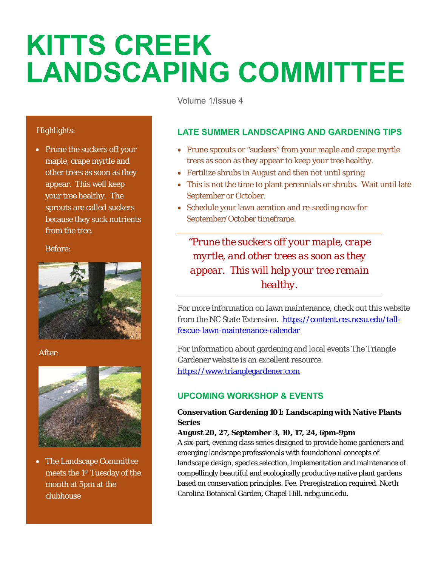# **KITTS CREEK LANDSCAPING COMMITTEE**

Volume 1/Issue 4

## Highlights:

• Prune the suckers off your maple, crape myrtle and other trees as soon as they appear. This well keep your tree healthy. The sprouts are called suckers because they suck nutrients from the tree.

#### Before:



#### After:



 The Landscape Committee meets the 1st Tuesday of the month at 5pm at the clubhouse

## **LATE SUMMER LANDSCAPING AND GARDENING TIPS**

- Prune sprouts or "suckers" from your maple and crape myrtle trees as soon as they appear to keep your tree healthy.
- Fertilize shrubs in August and then not until spring
- This is not the time to plant perennials or shrubs. Wait until late September or October.
- Schedule your lawn aeration and re-seeding now for September/October timeframe.

*"Prune the suckers off your maple, crape myrtle, and other trees as soon as they appear. This will help your tree remain healthy.*

For more information on lawn maintenance, check out this website from the NC State Extension. https://content.ces.ncsu.edu/tallfescue-lawn-maintenance-calendar

For information about gardening and local events The Triangle Gardener website is an excellent resource. https://www.trianglegardener.com

## **UPCOMING WORKSHOP & EVENTS**

### **Conservation Gardening 101: Landscaping with Native Plants Series**

#### **August 20, 27, September 3, 10, 17, 24, 6pm-9pm**

A six-part, evening class series designed to provide home gardeners and emerging landscape professionals with foundational concepts of landscape design, species selection, implementation and maintenance of compellingly beautiful and ecologically productive native plant gardens based on conservation principles. Fee. Preregistration required. North Carolina Botanical Garden, Chapel Hill. ncbg.unc.edu.